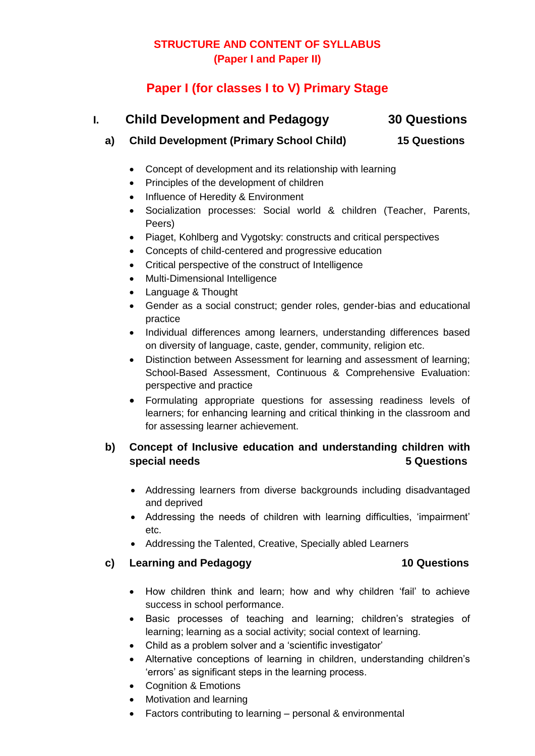## **STRUCTURE AND CONTENT OF SYLLABUS (Paper I and Paper II)**

# **Paper I (for classes I to V) Primary Stage**

| L. | <b>Child Development and Pedagogy</b>                       | <b>30 Questions</b> |  |
|----|-------------------------------------------------------------|---------------------|--|
| a) | <b>Child Development (Primary School Child)</b>             | <b>15 Questions</b> |  |
|    | • Concept of development and its relationship with learning |                     |  |
|    | • Principles of the development of children                 |                     |  |

- Influence of Heredity & Environment
- Socialization processes: Social world & children (Teacher, Parents, Peers)
- Piaget, Kohlberg and Vygotsky: constructs and critical perspectives
- Concepts of child-centered and progressive education
- Critical perspective of the construct of Intelligence
- Multi-Dimensional Intelligence
- Language & Thought
- Gender as a social construct; gender roles, gender-bias and educational practice
- Individual differences among learners, understanding differences based on diversity of language, caste, gender, community, religion etc.
- Distinction between Assessment for learning and assessment of learning; School-Based Assessment, Continuous & Comprehensive Evaluation: perspective and practice
- Formulating appropriate questions for assessing readiness levels of learners; for enhancing learning and critical thinking in the classroom and for assessing learner achievement.

## **b) Concept of Inclusive education and understanding children with special needs** 5 Questions **5** 3 Questions

- Addressing learners from diverse backgrounds including disadvantaged and deprived
- Addressing the needs of children with learning difficulties, 'impairment' etc.
- Addressing the Talented, Creative, Specially abled Learners

### **c) Learning and Pedagogy 10 Questions**

- How children think and learn; how and why children 'fail' to achieve success in school performance.
- Basic processes of teaching and learning; children's strategies of learning; learning as a social activity; social context of learning.
- Child as a problem solver and a 'scientific investigator'
- Alternative conceptions of learning in children, understanding children's 'errors' as significant steps in the learning process.
- Cognition & Emotions
- Motivation and learning
- Factors contributing to learning personal & environmental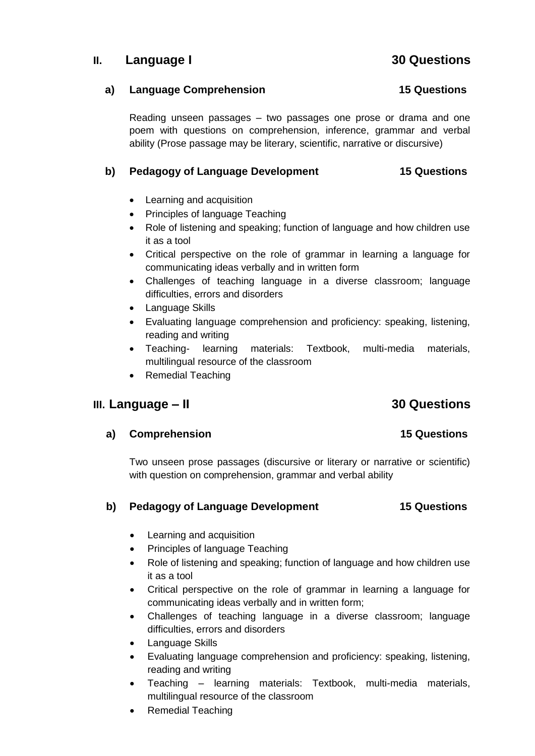## **II. Language I 30 Questions**

### **a) Language Comprehension 15 Questions**

Reading unseen passages – two passages one prose or drama and one poem with questions on comprehension, inference, grammar and verbal ability (Prose passage may be literary, scientific, narrative or discursive)

### **b) Pedagogy of Language Development 15 Questions**

- Learning and acquisition
- Principles of language Teaching
- Role of listening and speaking; function of language and how children use it as a tool
- Critical perspective on the role of grammar in learning a language for communicating ideas verbally and in written form
- Challenges of teaching language in a diverse classroom; language difficulties, errors and disorders
- Language Skills
- Evaluating language comprehension and proficiency: speaking, listening, reading and writing
- Teaching- learning materials: Textbook, multi-media materials, multilingual resource of the classroom
- Remedial Teaching

## **III. Language – II 30 Questions**

### **a) Comprehension 15 Questions**

Two unseen prose passages (discursive or literary or narrative or scientific) with question on comprehension, grammar and verbal ability

### **b) Pedagogy of Language Development 15 Questions**

- Learning and acquisition
- Principles of language Teaching
- Role of listening and speaking; function of language and how children use it as a tool
- Critical perspective on the role of grammar in learning a language for communicating ideas verbally and in written form;
- Challenges of teaching language in a diverse classroom; language difficulties, errors and disorders
- Language Skills
- Evaluating language comprehension and proficiency: speaking, listening, reading and writing
- Teaching learning materials: Textbook, multi-media materials, multilingual resource of the classroom
- Remedial Teaching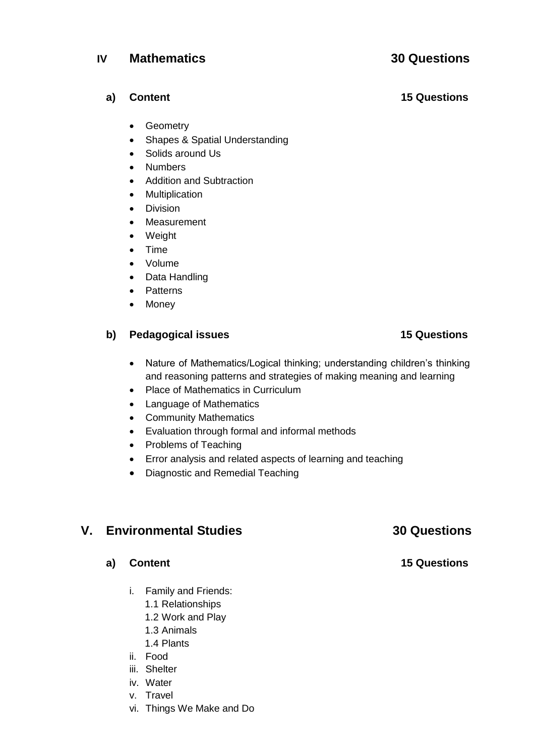- Geometry
- Shapes & Spatial Understanding
- Solids around Us
- Numbers
- Addition and Subtraction
- Multiplication
- **•** Division
- Measurement
- Weight
- Time
- Volume
- Data Handling
- Patterns
- Money

### **b) Pedagogical issues** 15 Questions

- Nature of Mathematics/Logical thinking; understanding children's thinking and reasoning patterns and strategies of making meaning and learning
- Place of Mathematics in Curriculum
- Language of Mathematics
- Community Mathematics
- Evaluation through formal and informal methods
- Problems of Teaching
- Error analysis and related aspects of learning and teaching
- Diagnostic and Remedial Teaching

## **V. Environmental Studies 30 Questions**

### **a) Content 15 Questions**

- i. Family and Friends:
	- 1.1 Relationships
	- 1.2 Work and Play
	- 1.3 Animals
	- 1.4 Plants
- ii. Food
- iii. Shelter
- iv. Water
- v. Travel
- vi. Things We Make and Do

# **IV Mathematics 30 Questions**

## **a) Content 15 Questions**